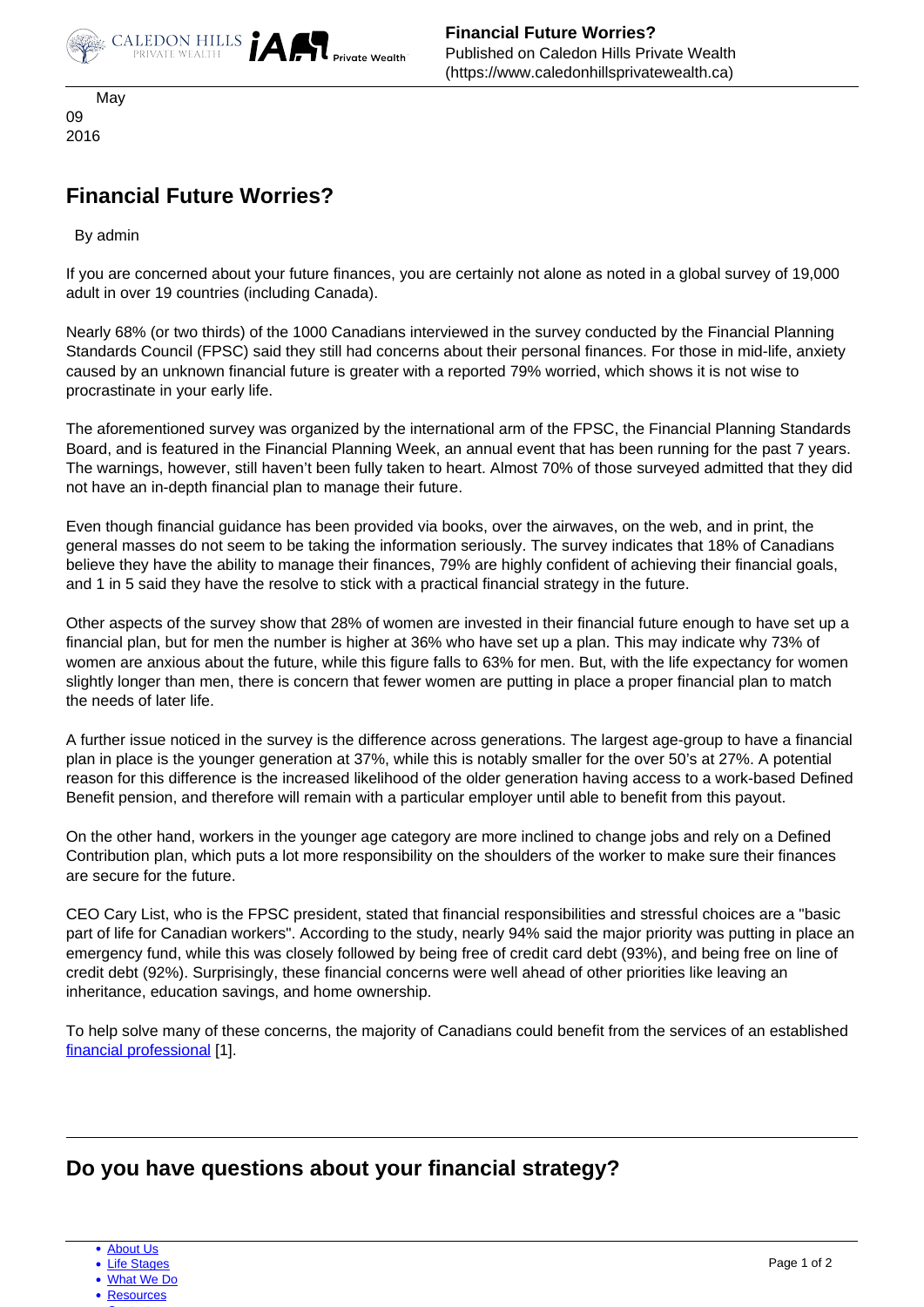

 May 09 2016

## **Financial Future Worries?**

By admin

If you are concerned about your future finances, you are certainly not alone as noted in a global survey of 19,000 adult in over 19 countries (including Canada).

Nearly 68% (or two thirds) of the 1000 Canadians interviewed in the survey conducted by the Financial Planning Standards Council (FPSC) said they still had concerns about their personal finances. For those in mid-life, anxiety caused by an unknown financial future is greater with a reported 79% worried, which shows it is not wise to procrastinate in your early life.

The aforementioned survey was organized by the international arm of the FPSC, the Financial Planning Standards Board, and is featured in the Financial Planning Week, an annual event that has been running for the past 7 years. The warnings, however, still haven't been fully taken to heart. Almost 70% of those surveyed admitted that they did not have an in-depth financial plan to manage their future.

Even though financial guidance has been provided via books, over the airwaves, on the web, and in print, the general masses do not seem to be taking the information seriously. The survey indicates that 18% of Canadians believe they have the ability to manage their finances, 79% are highly confident of achieving their financial goals, and 1 in 5 said they have the resolve to stick with a practical financial strategy in the future.

Other aspects of the survey show that 28% of women are invested in their financial future enough to have set up a financial plan, but for men the number is higher at 36% who have set up a plan. This may indicate why 73% of women are anxious about the future, while this figure falls to 63% for men. But, with the life expectancy for women slightly longer than men, there is concern that fewer women are putting in place a proper financial plan to match the needs of later life.

A further issue noticed in the survey is the difference across generations. The largest age-group to have a financial plan in place is the younger generation at 37%, while this is notably smaller for the over 50's at 27%. A potential reason for this difference is the increased likelihood of the older generation having access to a work-based Defined Benefit pension, and therefore will remain with a particular employer until able to benefit from this payout.

On the other hand, workers in the younger age category are more inclined to change jobs and rely on a Defined Contribution plan, which puts a lot more responsibility on the shoulders of the worker to make sure their finances are secure for the future.

CEO Cary List, who is the FPSC president, stated that financial responsibilities and stressful choices are a "basic part of life for Canadian workers". According to the study, nearly 94% said the major priority was putting in place an emergency fund, while this was closely followed by being free of credit card debt (93%), and being free on line of credit debt (92%). Surprisingly, these financial concerns were well ahead of other priorities like leaving an inheritance, education savings, and home ownership.

To help solve many of these concerns, the majority of Canadians could benefit from the services of an established [financial professional](https://www.caledonhillsprivatewealth.ca/contact-us) [1].

## **Do you have questions about your financial strategy?**

• [About Us](https://www.caledonhillsprivatewealth.ca/about-us)

**[Life Stages](https://www.caledonhillsprivatewealth.ca/life-stages)** 

[What We Do](https://www.caledonhillsprivatewealth.ca/what-we-do)

[Resources](https://www.caledonhillsprivatewealth.ca/resources)  $\sim$  [Contact](https://www.caledonhillsprivatewealth.ca/contact-us)  $\sim$